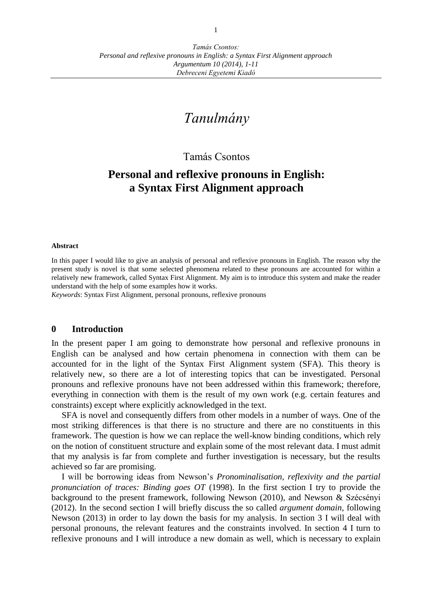# *Tanulmány*

## Tamás Csontos

## **Personal and reflexive pronouns in English: a Syntax First Alignment approach**

#### **Abstract**

In this paper I would like to give an analysis of personal and reflexive pronouns in English. The reason why the present study is novel is that some selected phenomena related to these pronouns are accounted for within a relatively new framework, called Syntax First Alignment. My aim is to introduce this system and make the reader understand with the help of some examples how it works.

*Keywords*: Syntax First Alignment, personal pronouns, reflexive pronouns

#### **0 Introduction**

In the present paper I am going to demonstrate how personal and reflexive pronouns in English can be analysed and how certain phenomena in connection with them can be accounted for in the light of the Syntax First Alignment system (SFA). This theory is relatively new, so there are a lot of interesting topics that can be investigated. Personal pronouns and reflexive pronouns have not been addressed within this framework; therefore, everything in connection with them is the result of my own work (e.g. certain features and constraints) except where explicitly acknowledged in the text.

SFA is novel and consequently differs from other models in a number of ways. One of the most striking differences is that there is no structure and there are no constituents in this framework. The question is how we can replace the well-know binding conditions, which rely on the notion of constituent structure and explain some of the most relevant data. I must admit that my analysis is far from complete and further investigation is necessary, but the results achieved so far are promising.

I will be borrowing ideas from Newson's *Pronominalisation, reflexivity and the partial pronunciation of traces: Binding goes OT* (1998). In the first section I try to provide the background to the present framework, following Newson (2010), and Newson & Szécsényi (2012). In the second section I will briefly discuss the so called *argument domain,* following Newson (2013) in order to lay down the basis for my analysis. In section 3 I will deal with personal pronouns, the relevant features and the constraints involved. In section 4 I turn to reflexive pronouns and I will introduce a new domain as well, which is necessary to explain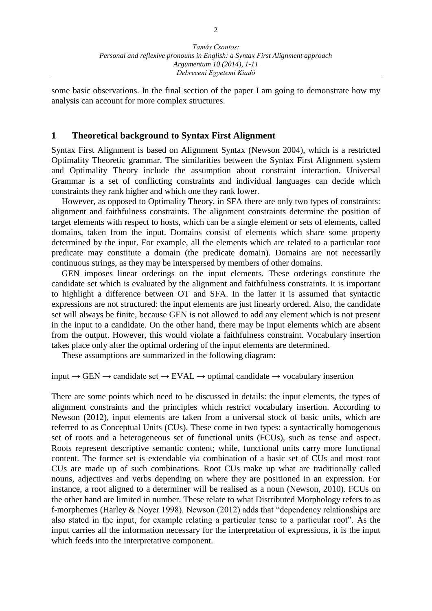some basic observations. In the final section of the paper I am going to demonstrate how my analysis can account for more complex structures.

#### **1 Theoretical background to Syntax First Alignment**

Syntax First Alignment is based on Alignment Syntax (Newson 2004), which is a restricted Optimality Theoretic grammar. The similarities between the Syntax First Alignment system and Optimality Theory include the assumption about constraint interaction. Universal Grammar is a set of conflicting constraints and individual languages can decide which constraints they rank higher and which one they rank lower.

However, as opposed to Optimality Theory, in SFA there are only two types of constraints: alignment and faithfulness constraints. The alignment constraints determine the position of target elements with respect to hosts, which can be a single element or sets of elements, called domains, taken from the input. Domains consist of elements which share some property determined by the input. For example, all the elements which are related to a particular root predicate may constitute a domain (the predicate domain). Domains are not necessarily continuous strings, as they may be interspersed by members of other domains.

GEN imposes linear orderings on the input elements. These orderings constitute the candidate set which is evaluated by the alignment and faithfulness constraints. It is important to highlight a difference between OT and SFA. In the latter it is assumed that syntactic expressions are not structured: the input elements are just linearly ordered. Also, the candidate set will always be finite, because GEN is not allowed to add any element which is not present in the input to a candidate. On the other hand, there may be input elements which are absent from the output. However, this would violate a faithfulness constraint. Vocabulary insertion takes place only after the optimal ordering of the input elements are determined.

These assumptions are summarized in the following diagram:

#### input → GEN → candidate set → EVAL → optimal candidate → vocabulary insertion

There are some points which need to be discussed in details: the input elements, the types of alignment constraints and the principles which restrict vocabulary insertion. According to Newson (2012), input elements are taken from a universal stock of basic units, which are referred to as Conceptual Units (CUs). These come in two types: a syntactically homogenous set of roots and a heterogeneous set of functional units (FCUs), such as tense and aspect. Roots represent descriptive semantic content; while, functional units carry more functional content. The former set is extendable via combination of a basic set of CUs and most root CUs are made up of such combinations. Root CUs make up what are traditionally called nouns, adjectives and verbs depending on where they are positioned in an expression. For instance, a root aligned to a determiner will be realised as a noun (Newson, 2010). FCUs on the other hand are limited in number. These relate to what Distributed Morphology refers to as f-morphemes (Harley & Noyer 1998). Newson (2012) adds that "dependency relationships are also stated in the input, for example relating a particular tense to a particular root". As the input carries all the information necessary for the interpretation of expressions, it is the input which feeds into the interpretative component.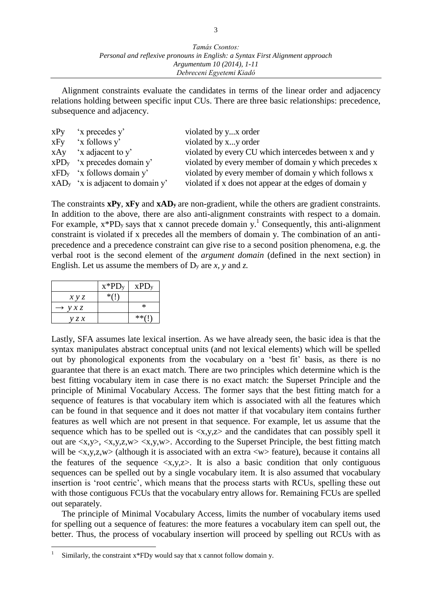Alignment constraints evaluate the candidates in terms of the linear order and adjacency relations holding between specific input CUs. There are three basic relationships: precedence, subsequence and adjacency.

| $xPy$ 'x precedes y'                | violated by yx order                                   |
|-------------------------------------|--------------------------------------------------------|
| $xFy$ 'x follows $y'$               | violated by xy order                                   |
| $xAy$ 'x adjacent to y'             | violated by every CU which intercedes between x and y  |
| $xPDy$ 'x precedes domain y'        | violated by every member of domain y which precedes x  |
| $xFDy$ 'x follows domain y'         | violated by every member of domain y which follows x   |
| $xAD_y$ 'x is adjacent to domain y' | violated if x does not appear at the edges of domain y |

The constraints **xPy**, **xFy** and **xAD<sup>y</sup>** are non-gradient, while the others are gradient constraints. In addition to the above, there are also anti-alignment constraints with respect to a domain. For example,  $x*PD_y$  says that x cannot precede domain  $y<sup>1</sup>$ . Consequently, this anti-alignment constraint is violated if x precedes all the members of domain y. The combination of an antiprecedence and a precedence constraint can give rise to a second position phenomena, e.g. the verbal root is the second element of the *argument domain* (defined in the next section) in English. Let us assume the members of D<sup>y</sup> are *x, y* and *z.*

|                            | $x*PD_y$ | XPD <sub>y</sub> |
|----------------------------|----------|------------------|
| x y z                      | $*(1)$   |                  |
| $\rightarrow$ $\gamma$ x z |          | $\ast$           |
| y z x                      |          | $**$ $($         |

 $\overline{a}$ 

Lastly, SFA assumes late lexical insertion. As we have already seen, the basic idea is that the syntax manipulates abstract conceptual units (and not lexical elements) which will be spelled out by phonological exponents from the vocabulary on a 'best fit' basis, as there is no guarantee that there is an exact match. There are two principles which determine which is the best fitting vocabulary item in case there is no exact match: the Superset Principle and the principle of Minimal Vocabulary Access. The former says that the best fitting match for a sequence of features is that vocabulary item which is associated with all the features which can be found in that sequence and it does not matter if that vocabulary item contains further features as well which are not present in that sequence. For example, let us assume that the sequence which has to be spelled out is  $\langle x, y, z \rangle$  and the candidates that can possibly spell it out are  $\langle x, y \rangle$ ,  $\langle x, y, z, w \rangle \langle x, y, w \rangle$ . According to the Superset Principle, the best fitting match will be  $\langle x, y, z, w \rangle$  (although it is associated with an extra  $\langle w \rangle$  feature), because it contains all the features of the sequence  $\langle x,y,z \rangle$ . It is also a basic condition that only contiguous sequences can be spelled out by a single vocabulary item. It is also assumed that vocabulary insertion is 'root centric', which means that the process starts with RCUs, spelling these out with those contiguous FCUs that the vocabulary entry allows for. Remaining FCUs are spelled out separately.

The principle of Minimal Vocabulary Access, limits the number of vocabulary items used for spelling out a sequence of features: the more features a vocabulary item can spell out, the better. Thus, the process of vocabulary insertion will proceed by spelling out RCUs with as

<sup>1</sup> Similarly, the constraint x\*FDy would say that x cannot follow domain y.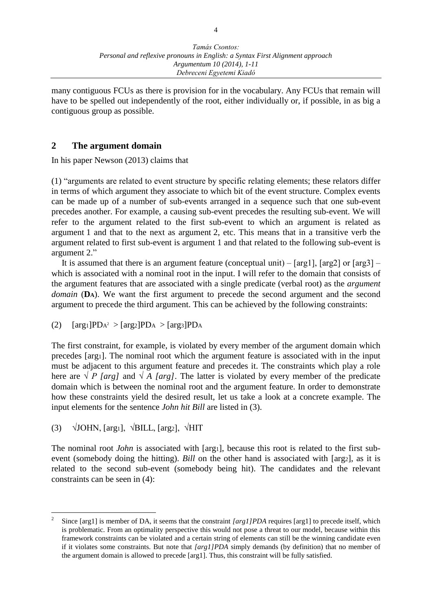many contiguous FCUs as there is provision for in the vocabulary. Any FCUs that remain will have to be spelled out independently of the root, either individually or, if possible, in as big a contiguous group as possible.

#### **2 The argument domain**

In his paper Newson (2013) claims that

(1) "arguments are related to event structure by specific relating elements; these relators differ in terms of which argument they associate to which bit of the event structure. Complex events can be made up of a number of sub-events arranged in a sequence such that one sub-event precedes another. For example, a causing sub-event precedes the resulting sub-event. We will refer to the argument related to the first sub-event to which an argument is related as argument 1 and that to the next as argument 2, etc. This means that in a transitive verb the argument related to first sub-event is argument 1 and that related to the following sub-event is argument 2."

It is assumed that there is an argument feature (conceptual unit)  $-$  [arg1], [arg2] or [arg3]  $$ which is associated with a nominal root in the input. I will refer to the domain that consists of the argument features that are associated with a single predicate (verbal root) as the *argument domain* (**DA**). We want the first argument to precede the second argument and the second argument to precede the third argument. This can be achieved by the following constraints:

(2)  $[\arg 1] PDA^2 > [\arg 2] PDA > [\arg 3] PDA$ 

The first constraint, for example, is violated by every member of the argument domain which precedes [arg1]. The nominal root which the argument feature is associated with in the input must be adjacent to this argument feature and precedes it. The constraints which play a role here are  $\sqrt{P}$  *[arg]* and  $\sqrt{A}$  *[arg]*. The latter is violated by every member of the predicate domain which is between the nominal root and the argument feature. In order to demonstrate how these constraints yield the desired result, let us take a look at a concrete example. The input elements for the sentence *John hit Bill* are listed in (3).

(3)  $\sqrt{\text{JOHN}}$ , [arg1],  $\sqrt{\text{BILL}}$ , [arg2],  $\sqrt{\text{HIT}}$ 

 $\overline{a}$ 

The nominal root *John* is associated with [arg1], because this root is related to the first subevent (somebody doing the hitting). *Bill* on the other hand is associated with [arg2], as it is related to the second sub-event (somebody being hit). The candidates and the relevant constraints can be seen in (4):

<sup>2</sup> Since [arg1] is member of DA, it seems that the constraint *[arg1]PDA* requires [arg1] to precede itself, which is problematic. From an optimality perspective this would not pose a threat to our model, because within this framework constraints can be violated and a certain string of elements can still be the winning candidate even if it violates some constraints. But note that *[arg1]PDA* simply demands (by definition) that no member of the argument domain is allowed to precede [arg1]. Thus, this constraint will be fully satisfied.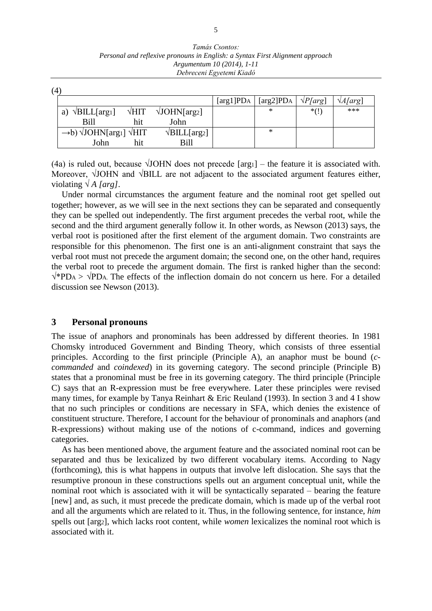| Tamás Csontos:                                                                |
|-------------------------------------------------------------------------------|
| Personal and reflexive pronouns in English: a Syntax First Alignment approach |
| Argumentum 10 (2014), 1-11                                                    |
| Debreceni Egyetemi Kiadó                                                      |

(4) [arg1]PDA [arg2]PDA *√P[arg*] *√A[arg*] a)  $\sqrt{\text{BILL}}$ [arg1]  $\sqrt{\text{HIT}}$   $\sqrt{\text{JOHN}}$ [arg2] Bill hit John  $*(!)$  \*\*\*  $\rightarrow$ b)  $\sqrt{\text{JOHN}}$ [arg1]  $\sqrt{\text{HIT}}$   $\sqrt{\text{BILL}}$ [arg2] John hit Bill \*

(4a) is ruled out, because  $\sqrt{\text{JOHN}}$  does not precede [arg1] – the feature it is associated with. Moreover,  $\sqrt{\text{JOHN}}$  and  $\sqrt{\text{BILL}}$  are not adjacent to the associated argument features either, violating *√ A [arg].*

Under normal circumstances the argument feature and the nominal root get spelled out together; however, as we will see in the next sections they can be separated and consequently they can be spelled out independently. The first argument precedes the verbal root, while the second and the third argument generally follow it. In other words, as Newson (2013) says, the verbal root is positioned after the first element of the argument domain. Two constraints are responsible for this phenomenon. The first one is an anti-alignment constraint that says the verbal root must not precede the argument domain; the second one, on the other hand, requires the verbal root to precede the argument domain. The first is ranked higher than the second:  $\sqrt{\text{*}PDA}$  >  $\sqrt{PDA}$ . The effects of the inflection domain do not concern us here. For a detailed discussion see Newson (2013).

#### **3 Personal pronouns**

The issue of anaphors and pronominals has been addressed by different theories. In 1981 Chomsky introduced Government and Binding Theory, which consists of three essential principles. According to the first principle (Principle A), an anaphor must be bound (*ccommanded* and *coindexed*) in its governing category. The second principle (Principle B) states that a pronominal must be free in its governing category. The third principle (Principle C) says that an R-expression must be free everywhere. Later these principles were revised many times, for example by Tanya Reinhart & Eric Reuland (1993). In section 3 and 4 I show that no such principles or conditions are necessary in SFA, which denies the existence of constituent structure. Therefore, I account for the behaviour of pronominals and anaphors (and R-expressions) without making use of the notions of c-command, indices and governing categories.

As has been mentioned above, the argument feature and the associated nominal root can be separated and thus be lexicalized by two different vocabulary items. According to Nagy (forthcoming), this is what happens in outputs that involve left dislocation. She says that the resumptive pronoun in these constructions spells out an argument conceptual unit, while the nominal root which is associated with it will be syntactically separated – bearing the feature [new] and, as such, it must precede the predicate domain, which is made up of the verbal root and all the arguments which are related to it. Thus, in the following sentence, for instance, *him*  spells out [arg2], which lacks root content, while *women* lexicalizes the nominal root which is associated with it.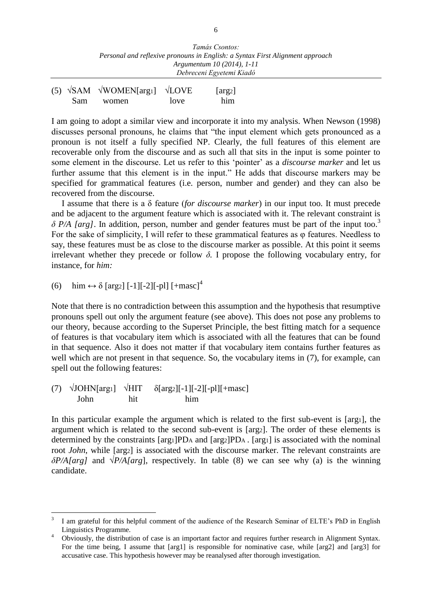|  | (5) $\sqrt{\text{SAM}}$ $\sqrt{\text{WOMEN}}$ [arg1] $\sqrt{\text{LOVE}}$ |      | $\lceil \arg_2 \rceil$ |
|--|---------------------------------------------------------------------------|------|------------------------|
|  | Sam women                                                                 | love | him                    |

I am going to adopt a similar view and incorporate it into my analysis. When Newson (1998) discusses personal pronouns, he claims that "the input element which gets pronounced as a pronoun is not itself a fully specified NP. Clearly, the full features of this element are recoverable only from the discourse and as such all that sits in the input is some pointer to some element in the discourse. Let us refer to this 'pointer' as a *discourse marker* and let us further assume that this element is in the input." He adds that discourse markers may be specified for grammatical features (i.e. person, number and gender) and they can also be recovered from the discourse.

I assume that there is a δ feature (*for discourse marker*) in our input too. It must precede and be adjacent to the argument feature which is associated with it. The relevant constraint is *δ P/A [arg]*. In addition, person, number and gender features must be part of the input too.<sup>3</sup> For the sake of simplicity, I will refer to these grammatical features as φ features. Needless to say, these features must be as close to the discourse marker as possible. At this point it seems irrelevant whether they precede or follow  $\delta$ . I propose the following vocabulary entry, for instance, for *him:* 

(6) him ↔ δ [arg2] [-1][-2][-pl] [+masc]<sup>4</sup>

 $\overline{a}$ 

Note that there is no contradiction between this assumption and the hypothesis that resumptive pronouns spell out only the argument feature (see above). This does not pose any problems to our theory, because according to the Superset Principle, the best fitting match for a sequence of features is that vocabulary item which is associated with all the features that can be found in that sequence. Also it does not matter if that vocabulary item contains further features as well which are not present in that sequence. So, the vocabulary items in (7), for example, can spell out the following features:

(7)  $\sqrt{\text{JOHN}}\text{[arg1]}$   $\sqrt{\text{HIT}}$   $\delta \text{[arg2]}[-1]\text{[-2]}[-\text{pl}]\text{[+masc]}$ John hit him

In this particular example the argument which is related to the first sub-event is [arg1], the argument which is related to the second sub-event is [arg2]. The order of these elements is determined by the constraints [arg1]PD<sup>A</sup> and [arg2]PDA . [arg1] is associated with the nominal root *John*, while [arg2] is associated with the discourse marker. The relevant constraints are *δP/A[arg]* and *√P/A[arg*], respectively. In table (8) we can see why (a) is the winning candidate.

<sup>3</sup> I am grateful for this helpful comment of the audience of the Research Seminar of ELTE's PhD in English Linguistics Programme.

<sup>&</sup>lt;sup>4</sup> Obviously, the distribution of case is an important factor and requires further research in Alignment Syntax. For the time being, I assume that [arg1] is responsible for nominative case, while [arg2] and [arg3] for accusative case. This hypothesis however may be reanalysed after thorough investigation.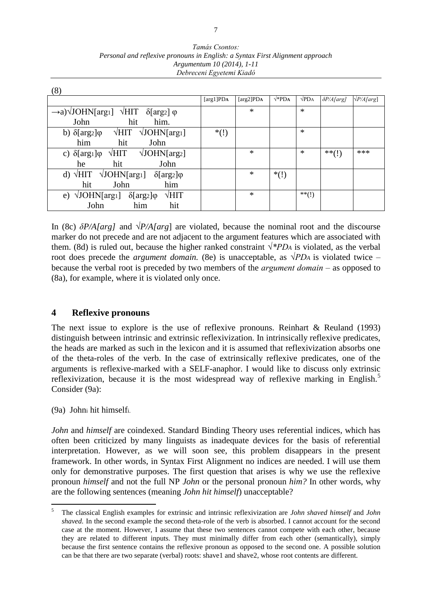| (8)                                                                                          |                            |               |              |               |                    |                        |
|----------------------------------------------------------------------------------------------|----------------------------|---------------|--------------|---------------|--------------------|------------------------|
|                                                                                              | $\lceil \arg 1 \rceil PDA$ | [ $arg2$ ]PDA | $\sqrt*PDA}$ | $\sqrt{PD_A}$ | $\delta P/A$ [arg] | $\sqrt{P/A\sqrt{a}rg}$ |
| $\rightarrow$ a) $\sqrt{\text{JOHN}}$ [arg1] $\sqrt{\text{HIT}}$ $\delta$ [arg2] $\varphi$   |                            | $\ast$        |              | $\ast$        |                    |                        |
| hit<br>John<br>him.                                                                          |                            |               |              |               |                    |                        |
| $\sqrt{\text{HIT}}$<br>$\sqrt{\text{JOHN}}$ [arg <sub>1</sub> ]<br>b) $\delta[arg_2]\varphi$ | $*(!)$                     |               |              | $\ast$        |                    |                        |
| him<br>hit<br>John                                                                           |                            |               |              |               |                    |                        |
| $\sqrt{\text{JOHN}}$ [arg2]<br>$\sqrt{HIT}$<br>c) $\delta[\arg_1]\varphi$                    |                            | $\ast$        |              | $\ast$        | $***()$            | ***                    |
| hit<br>John<br>he                                                                            |                            |               |              |               |                    |                        |
| d) $\sqrt{HIT}$ $\sqrt{JOHN}$ [arg <sub>1</sub> ] $\delta$ [arg <sub>2</sub> ] $\varphi$     |                            | $\ast$        | $*(!)$       |               |                    |                        |
| hit<br>John<br>him                                                                           |                            |               |              |               |                    |                        |
| $\sqrt{\text{JOHN}}$ [arg <sub>1</sub> ]<br>$\sqrt{HIT}$<br>$\delta[arg2]\varphi$<br>e)      |                            | $\ast$        |              | $**$ (!)      |                    |                        |
| John<br>hit<br>him                                                                           |                            |               |              |               |                    |                        |

*Tamás Csontos: Personal and reflexive pronouns in English: a Syntax First Alignment approach Argumentum 10 (2014), 1-11 Debreceni Egyetemi Kiadó*

In (8c) *δP/A[arg]* and *√P/A[arg*] are violated, because the nominal root and the discourse marker do not precede and are not adjacent to the argument features which are associated with them. (8d) is ruled out, because the higher ranked constraint  $\sqrt{\alpha}PD_A$  is violated, as the verbal root does precede the *argument domain.* (8e) is unacceptable, as  $\sqrt{PD_A}$  is violated twice – because the verbal root is preceded by two members of the *argument domain ‒* as opposed to (8a), for example, where it is violated only once.

#### **4 Reflexive pronouns**

The next issue to explore is the use of reflexive pronouns. Reinhart & Reuland (1993) distinguish between intrinsic and extrinsic reflexivization. In intrinsically reflexive predicates, the heads are marked as such in the lexicon and it is assumed that reflexivization absorbs one of the theta-roles of the verb. In the case of extrinsically reflexive predicates, one of the arguments is reflexive-marked with a SELF-anaphor. I would like to discuss only extrinsic reflexivization, because it is the most widespread way of reflexive marking in English.<sup>5</sup> Consider (9a):

(9a) John<sup>i</sup> hit himselfi.

 $\overline{a}$ 

*John and himself are coindexed.* Standard Binding Theory uses referential indices, which has often been criticized by many linguists as inadequate devices for the basis of referential interpretation. However, as we will soon see, this problem disappears in the present framework. In other words, in Syntax First Alignment no indices are needed. I will use them only for demonstrative purposes. The first question that arises is why we use the reflexive pronoun *himself* and not the full NP *John* or the personal pronoun *him?* In other words, why are the following sentences (meaning *John hit himself*) unacceptable?

<sup>5</sup> The classical English examples for extrinsic and intrinsic reflexivization are *John shaved himself* and *John shaved.* In the second example the second theta-role of the verb is absorbed. I cannot account for the second case at the moment. However, I assume that these two sentences cannot compete with each other, because they are related to different inputs. They must minimally differ from each other (semantically), simply because the first sentence contains the reflexive pronoun as opposed to the second one. A possible solution can be that there are two separate (verbal) roots: shave1 and shave2, whose root contents are different.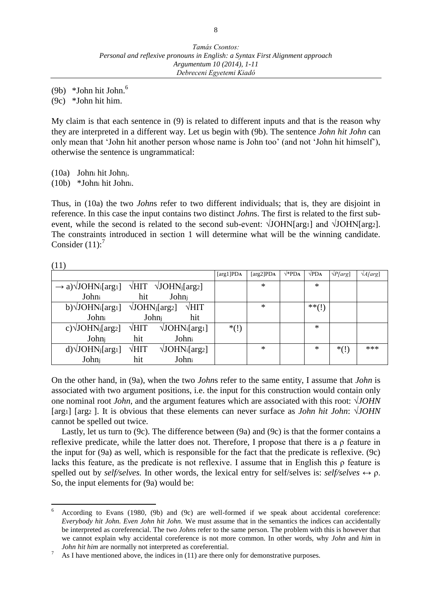(9b)  $*John hit John.<sup>6</sup>$ 

(9c) \*John hit him.

My claim is that each sentence in (9) is related to different inputs and that is the reason why they are interpreted in a different way. Let us begin with (9b). The sentence *John hit John* can only mean that 'John hit another person whose name is John too' (and not 'John hit himself'), otherwise the sentence is ungrammatical:

(10a) John<sup>i</sup> hit Johnj.

(10b) \*John<sup>i</sup> hit Johni.

 $\overline{a}$ 

Thus, in (10a) the two *John*s refer to two different individuals; that is, they are disjoint in reference. In this case the input contains two distinct *John*s. The first is related to the first subevent, while the second is related to the second sub-event:  $\sqrt{\text{JOHN}}$ [arg1] and  $\sqrt{\text{JOHN}}$ [arg2]. The constraints introduced in section 1 will determine what will be the winning candidate. Consider  $(11)'$ 

| (11)                                                                   |                                     |                                          |                  |               |             |              |                 |                 |
|------------------------------------------------------------------------|-------------------------------------|------------------------------------------|------------------|---------------|-------------|--------------|-----------------|-----------------|
|                                                                        |                                     |                                          | [ $arg1$ ] $PDA$ | [ $arg2$ ]PDA | $\sqrt*PDA$ | $\sqrt{PDA}$ | $\sqrt{P[arg]}$ | $\sqrt{A[arg]}$ |
| $\rightarrow$ a) $\sqrt{\text{JOHN}}$ <sub>i</sub> [arg <sub>1</sub> ] |                                     | $\sqrt{HIT}$ $\sqrt{JOHN}$ [arg2]        |                  | *             |             | $\ast$       |                 |                 |
| Johni                                                                  | hit                                 | Johni                                    |                  |               |             |              |                 |                 |
| b) $\sqrt{\text{JOHN}}$ i[arg <sub>1</sub> ]                           | $\sqrt{\text{JOHN}}_j[\text{arg}2]$ | $\sqrt{HIT}$                             |                  | *             |             | $***(!)$     |                 |                 |
| Johni                                                                  |                                     | Johni<br>hit                             |                  |               |             |              |                 |                 |
| c) $\sqrt{\text{JOHN}}$ [arg2]                                         | $\sqrt{HIT}$                        | $\sqrt{\text{JOHN}}$ [arg <sub>1</sub> ] | $*(!)$           |               |             | $\ast$       |                 |                 |
| Johnj                                                                  | hit                                 | Johni                                    |                  |               |             |              |                 |                 |
| $d)$ $\sqrt{JOHN}$ <sub>j</sub> [ $arg1$ ]                             | $\sqrt{HIT}$                        | $\sqrt{\text{JOHN}}$ [arg2]              |                  | *             |             | $\ast$       | $*(!)$          | ***             |
| Johnj                                                                  | hit                                 | Johni                                    |                  |               |             |              |                 |                 |

On the other hand, in (9a), when the two *John*s refer to the same entity, I assume that *John* is associated with two argument positions, i.e. the input for this construction would contain only one nominal root *John,* and the argument features which are associated with this root: √*JOHN* [arg1] [arg2 ]. It is obvious that these elements can never surface as *John hit John*: √*JOHN* cannot be spelled out twice.

Lastly, let us turn to (9c). The difference between (9a) and (9c) is that the former contains a reflexive predicate, while the latter does not. Therefore, I propose that there is a ρ feature in the input for (9a) as well, which is responsible for the fact that the predicate is reflexive. (9c) lacks this feature, as the predicate is not reflexive. I assume that in English this ρ feature is spelled out by *self/selves.* In other words, the lexical entry for self/selves is: *self/selves* ↔ ρ. So, the input elements for (9a) would be:

<sup>6</sup> According to Evans (1980, (9b) and (9c) are well-formed if we speak about accidental coreference: *Everybody hit John. Even John hit John.* We must assume that in the semantics the indices can accidentally be interpreted as coreferencial. The two *John*s refer to the same person. The problem with this is however that we cannot explain why accidental coreference is not more common. In other words, why *John* and *him* in *John hit him are normally not interpreted as coreferential.* 

As I have mentioned above, the indices in  $(11)$  are there only for demonstrative purposes.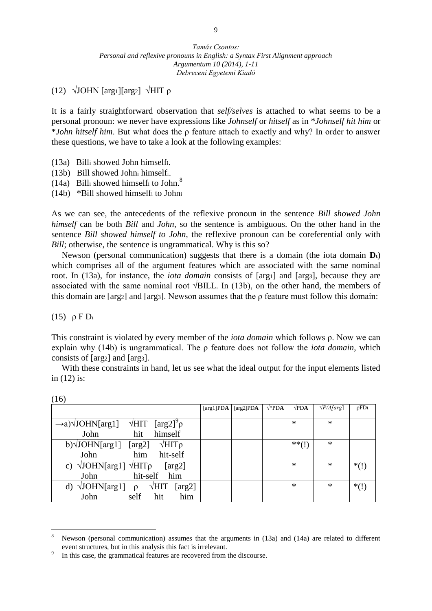## (12) √JOHN [arg1][arg2] √HIT ρ

It is a fairly straightforward observation that *self/selves* is attached to what seems to be a personal pronoun: we never have expressions like *Johnself* or *hitself* as in \**Johnself hit him* or \**John hitself him*. But what does the ρ feature attach to exactly and why? In order to answer these questions, we have to take a look at the following examples:

- (13a) Billi showed John himselfi.
- (13b) Bill showed John<sup>i</sup> himselfi.
- (14a) Billi showed himselfi to John. $^8$
- (14b) \*Bill showed himself<sup>i</sup> to John<sup>i</sup>

As we can see, the antecedents of the reflexive pronoun in the sentence *Bill showed John himself* can be both *Bill* and *John*, so the sentence is ambiguous. On the other hand in the sentence *Bill showed himself to John*, the reflexive pronoun can be coreferential only with *Bill*; otherwise, the sentence is ungrammatical. Why is this so?

Newson (personal communication) suggests that there is a domain (the iota domain **Dι**) which comprises all of the argument features which are associated with the same nominal root. In (13a), for instance, the *iota domain* consists of [arg1] and [arg3], because they are associated with the same nominal root  $\sqrt{\text{BILL}}$ . In (13b), on the other hand, the members of this domain are [arg2] and [arg3]. Newson assumes that the  $\rho$  feature must follow this domain:

(15) ρ F D<sup>ι</sup>

 $(16)$ 

 $\overline{a}$ 

This constraint is violated by every member of the *iota domain* which follows ρ. Now we can explain why (14b) is ungrammatical. The ρ feature does not follow the *iota domain*, which consists of [arg2] and [arg3].

With these constraints in hand, let us see what the ideal output for the input elements listed in (12) is:

| (10)                                                                                    |               |               |             |              |                    |              |
|-----------------------------------------------------------------------------------------|---------------|---------------|-------------|--------------|--------------------|--------------|
|                                                                                         | [ $arg1$ ]PDA | [ $arg2$ ]PDA | $\sqrt*PDA$ | $\sqrt{PDA}$ | $\sqrt{P/A}$ [arg] | $\rho F D t$ |
|                                                                                         |               |               |             |              |                    |              |
| $\sqrt{HIT}$ [arg2] <sup>9</sup> $\rho$<br>$\rightarrow$ a) $\sqrt{\text{JOHN}}$ [arg1] |               |               |             | *            | $\ast$             |              |
| John<br>himself<br>hit                                                                  |               |               |             |              |                    |              |
| $b)$ $\sqrt{JOHN[arg1]}$<br>$\sqrt{\text{HIT}}\rho$<br>[arg2]                           |               |               |             | $***()$      | ∗                  |              |
| John<br>hit-self<br>him                                                                 |               |               |             |              |                    |              |
| c) $\sqrt{\text{JOHN}}[\text{arg1}] \sqrt{\text{HIT}}\rho$<br>[arg2]                    |               |               |             | *            | ∗                  | $*(!)$       |
| hit-self him<br>John                                                                    |               |               |             |              |                    |              |
| d) $\sqrt{\text{JOHN}}[\text{arg1}]$ $\rho$<br>$\sqrt{HIT}$<br>[ $arg2$ ]               |               |               |             | $\ast$       | ∗                  | $*(!)$       |
| him<br>John<br>self<br>hit                                                              |               |               |             |              |                    |              |

<sup>&</sup>lt;sup>8</sup> Newson (personal communication) assumes that the arguments in (13a) and (14a) are related to different event structures, but in this analysis this fact is irrelevant.

<sup>9</sup> In this case, the grammatical features are recovered from the discourse.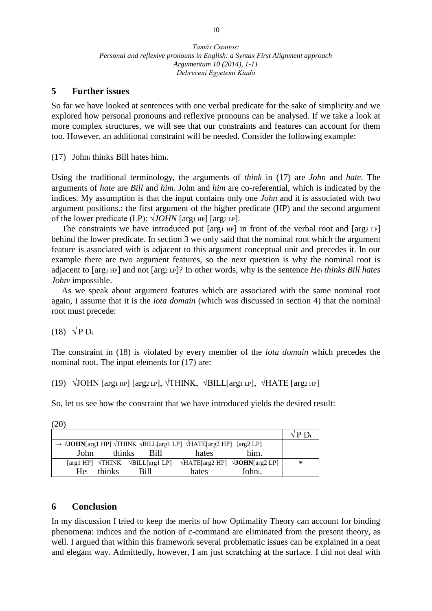### **5 Further issues**

So far we have looked at sentences with one verbal predicate for the sake of simplicity and we explored how personal pronouns and reflexive pronouns can be analysed. If we take a look at more complex structures, we will see that our constraints and features can account for them too. However, an additional constraint will be needed. Consider the following example:

(17) John<sup>i</sup> thinks Bill hates himi.

Using the traditional terminology, the arguments of *think* in (17) are *John* and *hate*. The arguments of *hate* are *Bill* and *him.* John and *him* are co-referential, which is indicated by the indices. My assumption is that the input contains only one *John* and it is associated with two argument positions.: the first argument of the higher predicate (HP) and the second argument of the lower predicate (LP):  $\sqrt{JOHN}$  [arg1 HP] [arg2 LP].

The constraints we have introduced put [arg1 HP] in front of the verbal root and [arg2 LP] behind the lower predicate. In section 3 we only said that the nominal root which the argument feature is associated with is adjacent to this argument conceptual unit and precedes it. In our example there are two argument features, so the next question is why the nominal root is adjacent to [arg1 HP] and not [arg2 LP]? In other words, why is the sentence *He<sup>i</sup> thinks Bill hates John<sup>i</sup>* impossible.

As we speak about argument features which are associated with the same nominal root again, I assume that it is the *iota domain* (which was discussed in section 4) that the nominal root must precede:

(18)  $\sqrt{P D_l}$ 

The constraint in (18) is violated by every member of the *iota domain* which precedes the nominal root. The input elements for (17) are:

(19)  $\sqrt{\text{JOHN}}$  [arg1 HP] [arg2 LP],  $\sqrt{\text{THINK}}$ ,  $\sqrt{\text{BILL}}$ [arg1 LP],  $\sqrt{\text{HATE}}$  [arg2 HP]

So, let us see how the constraint that we have introduced yields the desired result:

(20)

|                                                                                                                                        | 1/ P D. |
|----------------------------------------------------------------------------------------------------------------------------------------|---------|
| $\rightarrow \sqrt{\text{JOHN}}$ [arg1 HP] $\sqrt{\text{THINK}} \sqrt{\text{BILL}}$ [arg1 LP] $\sqrt{\text{HATE}}$ [arg2 HP] [arg2 LP] |         |
| him.<br>thinks<br>Bill<br>John<br>hates                                                                                                |         |
| $\forall$ HATE[arg2 HP] $\forall$ <b>JOHN</b> [arg2 LP]<br>[arg1 HP] $\sqrt{T}$ HINK $\sqrt{B}$ ILL[arg1 LP]                           | ∗       |
| Johni.<br>thinks<br>Bill<br>Hei<br>hates                                                                                               |         |

## **6 Conclusion**

In my discussion I tried to keep the merits of how Optimality Theory can account for binding phenomena: indices and the notion of c-command are eliminated from the present theory, as well. I argued that within this framework several problematic issues can be explained in a neat and elegant way. Admittedly, however, I am just scratching at the surface. I did not deal with